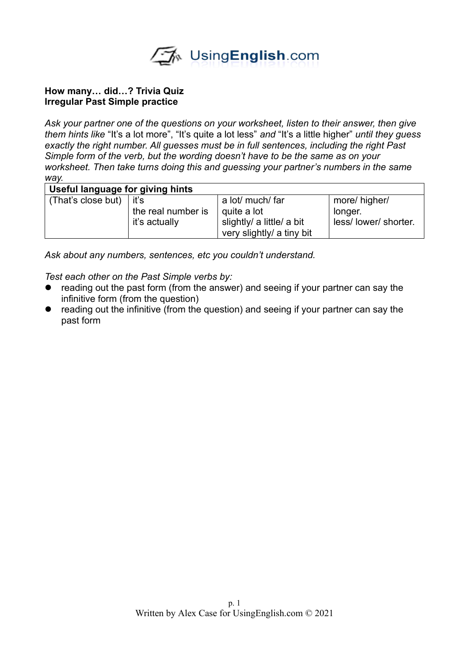

## **How many… did…? Trivia Quiz Irregular Past Simple practice**

*Ask your partner one of the questions on your worksheet, listen to their answer, then give them hints like* "It's a lot more", "It's quite a lot less" *and* "It's a little higher" *until they guess exactly the right number. All guesses must be in full sentences, including the right Past Simple form of the verb, but the wording doesn't have to be the same as on your worksheet. Then take turns doing this and guessing your partner's numbers in the same way.* 

|  | Useful language for giving hints |  |
|--|----------------------------------|--|
|--|----------------------------------|--|

| (That's close but) $\vert$ it's |                    | a lot/ much/ far          | more/ higher/       |
|---------------------------------|--------------------|---------------------------|---------------------|
|                                 | the real number is | quite a lot               | longer.             |
|                                 | it's actually      | slightly/ a little/ a bit | less/lower/shorter. |
|                                 |                    | very slightly/ a tiny bit |                     |

*Ask about any numbers, sentences, etc you couldn't understand.* 

*Test each other on the Past Simple verbs by:*

- reading out the past form (from the answer) and seeing if your partner can say the infinitive form (from the question)
- reading out the infinitive (from the question) and seeing if your partner can say the past form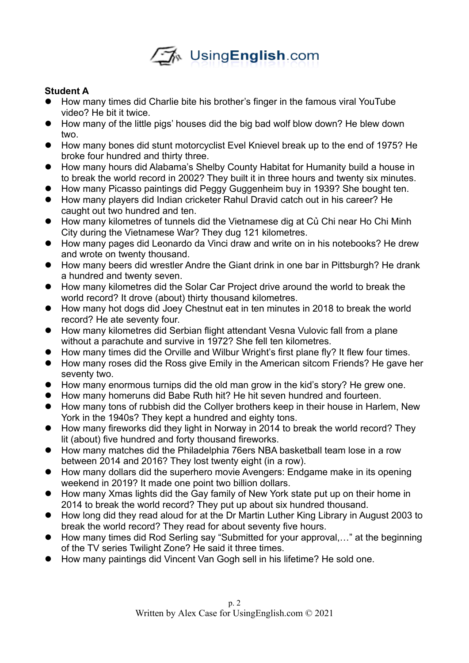

## **Student A**

- How many times did Charlie bite his brother's finger in the famous viral YouTube video? He bit it twice.
- How many of the little pigs' houses did the big bad wolf blow down? He blew down two.
- How many bones did stunt motorcyclist Evel Knievel break up to the end of 1975? He broke four hundred and thirty three.
- How many hours did Alabama's Shelby County Habitat for Humanity build a house in to break the world record in 2002? They built it in three hours and twenty six minutes.
- How many Picasso paintings did Peggy Guggenheim buy in 1939? She bought ten.
- How many players did Indian cricketer Rahul Dravid catch out in his career? He caught out two hundred and ten.
- How many kilometres of tunnels did the Vietnamese dig at Củ Chi near Ho Chi Minh City during the Vietnamese War? They dug 121 kilometres.
- How many pages did Leonardo da Vinci draw and write on in his notebooks? He drew and wrote on twenty thousand.
- How many beers did wrestler Andre the Giant drink in one bar in Pittsburgh? He drank a hundred and twenty seven.
- How many kilometres did the Solar Car Project drive around the world to break the world record? It drove (about) thirty thousand kilometres.
- How many hot dogs did Joey Chestnut eat in ten minutes in 2018 to break the world record? He ate seventy four.
- How many kilometres did Serbian flight attendant Vesna Vulovic fall from a plane without a parachute and survive in 1972? She fell ten kilometres.
- How many times did the Orville and Wilbur Wright's first plane fly? It flew four times.
- How many roses did the Ross give Emily in the American sitcom Friends? He gave her seventy two.
- How many enormous turnips did the old man grow in the kid's story? He grew one.
- How many homeruns did Babe Ruth hit? He hit seven hundred and fourteen.
- How many tons of rubbish did the Collyer brothers keep in their house in Harlem, New York in the 1940s? They kept a hundred and eighty tons.
- How many fireworks did they light in Norway in 2014 to break the world record? They lit (about) five hundred and forty thousand fireworks.
- How many matches did the Philadelphia 76ers NBA basketball team lose in a row between 2014 and 2016? They lost twenty eight (in a row).
- How many dollars did the superhero movie Avengers: Endgame make in its opening weekend in 2019? It made one point two billion dollars.
- How many Xmas lights did the Gay family of New York state put up on their home in 2014 to break the world record? They put up about six hundred thousand.
- How long did they read aloud for at the Dr Martin Luther King Library in August 2003 to break the world record? They read for about seventy five hours.
- How many times did Rod Serling say "Submitted for your approval,..." at the beginning of the TV series Twilight Zone? He said it three times.
- How many paintings did Vincent Van Gogh sell in his lifetime? He sold one.